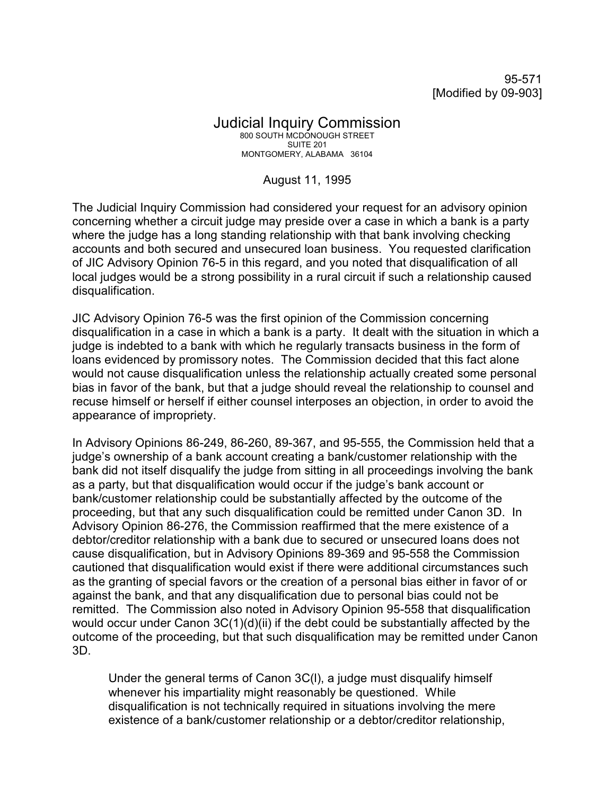95-571 [Modified by 09-903]

## Judicial Inquiry Commission 800 SOUTH MCDONOUGH STREET SUITE 201 MONTGOMERY, ALABAMA 36104

## August 11, 1995

The Judicial Inquiry Commission had considered your request for an advisory opinion concerning whether a circuit judge may preside over a case in which a bank is a party where the judge has a long standing relationship with that bank involving checking accounts and both secured and unsecured loan business. You requested clarification of JIC Advisory Opinion 76-5 in this regard, and you noted that disqualification of all local judges would be a strong possibility in a rural circuit if such a relationship caused disqualification.

JIC Advisory Opinion 76-5 was the first opinion of the Commission concerning disqualification in a case in which a bank is a party. It dealt with the situation in which a judge is indebted to a bank with which he regularly transacts business in the form of loans evidenced by promissory notes. The Commission decided that this fact alone would not cause disqualification unless the relationship actually created some personal bias in favor of the bank, but that a judge should reveal the relationship to counsel and recuse himself or herself if either counsel interposes an objection, in order to avoid the appearance of impropriety.

In Advisory Opinions 86-249, 86-260, 89-367, and 95-555, the Commission held that a judge's ownership of a bank account creating a bank/customer relationship with the bank did not itself disqualify the judge from sitting in all proceedings involving the bank as a party, but that disqualification would occur if the judge's bank account or bank/customer relationship could be substantially affected by the outcome of the proceeding, but that any such disqualification could be remitted under Canon 3D. In Advisory Opinion 86-276, the Commission reaffirmed that the mere existence of a debtor/creditor relationship with a bank due to secured or unsecured loans does not cause disqualification, but in Advisory Opinions 89-369 and 95-558 the Commission cautioned that disqualification would exist if there were additional circumstances such as the granting of special favors or the creation of a personal bias either in favor of or against the bank, and that any disqualification due to personal bias could not be remitted. The Commission also noted in Advisory Opinion 95-558 that disqualification would occur under Canon 3C(1)(d)(ii) if the debt could be substantially affected by the outcome of the proceeding, but that such disqualification may be remitted under Canon 3D.

Under the general terms of Canon 3C(l), a judge must disqualify himself whenever his impartiality might reasonably be questioned. While disqualification is not technically required in situations involving the mere existence of a bank/customer relationship or a debtor/creditor relationship,